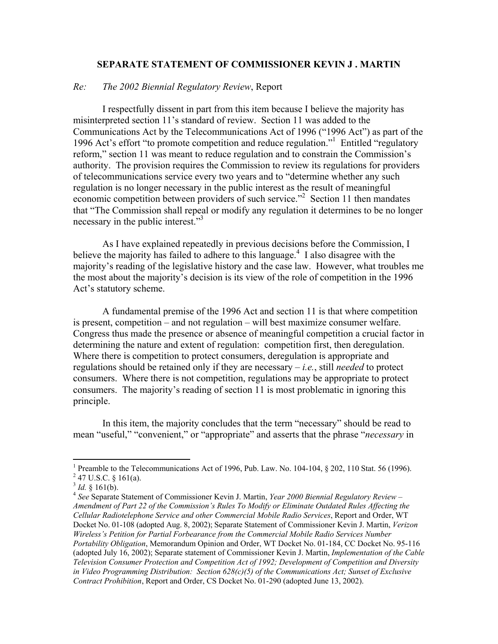#### **SEPARATE STATEMENT OF COMMISSIONER KEVIN J . MARTIN**

#### *Re: The 2002 Biennial Regulatory Review*, Report

 I respectfully dissent in part from this item because I believe the majority has misinterpreted section 11's standard of review. Section 11 was added to the Communications Act by the Telecommunications Act of 1996 ("1996 Act") as part of the 1996 Act's effort "to promote competition and reduce regulation."<sup>1</sup> Entitled "regulatory reform," section 11 was meant to reduce regulation and to constrain the Commission's authority. The provision requires the Commission to review its regulations for providers of telecommunications service every two years and to "determine whether any such regulation is no longer necessary in the public interest as the result of meaningful economic competition between providers of such service."<sup>2</sup> Section 11 then mandates that "The Commission shall repeal or modify any regulation it determines to be no longer necessary in the public interest."<sup>3</sup>

 As I have explained repeatedly in previous decisions before the Commission, I believe the majority has failed to adhere to this language.<sup>4</sup> I also disagree with the majority's reading of the legislative history and the case law. However, what troubles me the most about the majority's decision is its view of the role of competition in the 1996 Act's statutory scheme.

A fundamental premise of the 1996 Act and section 11 is that where competition is present, competition – and not regulation – will best maximize consumer welfare. Congress thus made the presence or absence of meaningful competition a crucial factor in determining the nature and extent of regulation: competition first, then deregulation. Where there is competition to protect consumers, deregulation is appropriate and regulations should be retained only if they are necessary – *i.e.*, still *needed* to protect consumers. Where there is not competition, regulations may be appropriate to protect consumers. The majority's reading of section 11 is most problematic in ignoring this principle.

 In this item, the majority concludes that the term "necessary" should be read to mean "useful," "convenient," or "appropriate" and asserts that the phrase "*necessary* in

<sup>&</sup>lt;sup>1</sup> Preamble to the Telecommunications Act of 1996, Pub. Law. No. 104-104,  $\S$  202, 110 Stat. 56 (1996).  $2$  47 U.S.C. § 161(a).

<sup>&</sup>lt;sup>3</sup> *Id.* § 161(b).<br><sup>4</sup> *See* Separate Statement of Commissioner Kevin J. Martin, *Year 2000 Biennial Regulatory Review* – *Amendment of Part 22 of the Commission's Rules To Modify or Eliminate Outdated Rules Affecting the Cellular Radiotelephone Service and other Commercial Mobile Radio Services*, Report and Order, WT Docket No. 01-108 (adopted Aug. 8, 2002); Separate Statement of Commissioner Kevin J. Martin, *Verizon Wireless's Petition for Partial Forbearance from the Commercial Mobile Radio Services Number Portability Obligation*, Memorandum Opinion and Order, WT Docket No. 01-184, CC Docket No. 95-116 (adopted July 16, 2002); Separate statement of Commissioner Kevin J. Martin, *Implementation of the Cable Television Consumer Protection and Competition Act of 1992; Development of Competition and Diversity in Video Programming Distribution: Section 628(c)(5) of the Communications Act; Sunset of Exclusive Contract Prohibition*, Report and Order, CS Docket No. 01-290 (adopted June 13, 2002).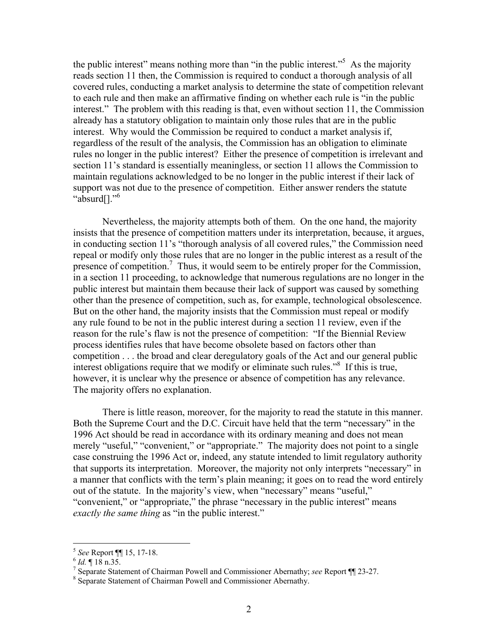the public interest" means nothing more than "in the public interest."<sup>5</sup> As the majority reads section 11 then, the Commission is required to conduct a thorough analysis of all covered rules, conducting a market analysis to determine the state of competition relevant to each rule and then make an affirmative finding on whether each rule is "in the public interest." The problem with this reading is that, even without section 11, the Commission already has a statutory obligation to maintain only those rules that are in the public interest. Why would the Commission be required to conduct a market analysis if, regardless of the result of the analysis, the Commission has an obligation to eliminate rules no longer in the public interest? Either the presence of competition is irrelevant and section 11's standard is essentially meaningless, or section 11 allows the Commission to maintain regulations acknowledged to be no longer in the public interest if their lack of support was not due to the presence of competition. Either answer renders the statute "absurd[]."<sup>6</sup>

 Nevertheless, the majority attempts both of them. On the one hand, the majority insists that the presence of competition matters under its interpretation, because, it argues, in conducting section 11's "thorough analysis of all covered rules," the Commission need repeal or modify only those rules that are no longer in the public interest as a result of the presence of competition.<sup>7</sup> Thus, it would seem to be entirely proper for the Commission, in a section 11 proceeding, to acknowledge that numerous regulations are no longer in the public interest but maintain them because their lack of support was caused by something other than the presence of competition, such as, for example, technological obsolescence. But on the other hand, the majority insists that the Commission must repeal or modify any rule found to be not in the public interest during a section 11 review, even if the reason for the rule's flaw is not the presence of competition: "If the Biennial Review process identifies rules that have become obsolete based on factors other than competition . . . the broad and clear deregulatory goals of the Act and our general public interest obligations require that we modify or eliminate such rules."<sup>8</sup> If this is true, however, it is unclear why the presence or absence of competition has any relevance. The majority offers no explanation.

 There is little reason, moreover, for the majority to read the statute in this manner. Both the Supreme Court and the D.C. Circuit have held that the term "necessary" in the 1996 Act should be read in accordance with its ordinary meaning and does not mean merely "useful," "convenient," or "appropriate." The majority does not point to a single case construing the 1996 Act or, indeed, any statute intended to limit regulatory authority that supports its interpretation. Moreover, the majority not only interprets "necessary" in a manner that conflicts with the term's plain meaning; it goes on to read the word entirely out of the statute. In the majority's view, when "necessary" means "useful," "convenient," or "appropriate," the phrase "necessary in the public interest" means *exactly the same thing* as "in the public interest."

<sup>&</sup>lt;sup>5</sup> *See* Report ¶| 15, 17-18.<br><sup>6</sup> *Id*. || 18 n.35.<br><sup>7</sup> Separate Statement of Ch

<sup>&</sup>lt;sup>7</sup> Separate Statement of Chairman Powell and Commissioner Abernathy; *see* Report ¶ 23-27.

<sup>&</sup>lt;sup>8</sup> Separate Statement of Chairman Powell and Commissioner Abernathy.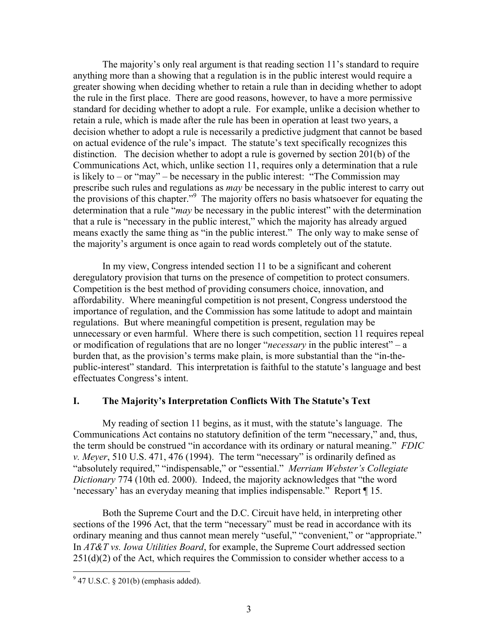The majority's only real argument is that reading section 11's standard to require anything more than a showing that a regulation is in the public interest would require a greater showing when deciding whether to retain a rule than in deciding whether to adopt the rule in the first place. There are good reasons, however, to have a more permissive standard for deciding whether to adopt a rule. For example, unlike a decision whether to retain a rule, which is made after the rule has been in operation at least two years, a decision whether to adopt a rule is necessarily a predictive judgment that cannot be based on actual evidence of the rule's impact. The statute's text specifically recognizes this distinction. The decision whether to adopt a rule is governed by section 201(b) of the Communications Act, which, unlike section 11, requires only a determination that a rule is likely to – or "may" – be necessary in the public interest: "The Commission may prescribe such rules and regulations as *may* be necessary in the public interest to carry out the provisions of this chapter."<sup>9</sup> The majority offers no basis whatsoever for equating the determination that a rule "*may* be necessary in the public interest" with the determination that a rule is "necessary in the public interest," which the majority has already argued means exactly the same thing as "in the public interest." The only way to make sense of the majority's argument is once again to read words completely out of the statute.

 In my view, Congress intended section 11 to be a significant and coherent deregulatory provision that turns on the presence of competition to protect consumers. Competition is the best method of providing consumers choice, innovation, and affordability. Where meaningful competition is not present, Congress understood the importance of regulation, and the Commission has some latitude to adopt and maintain regulations. But where meaningful competition is present, regulation may be unnecessary or even harmful. Where there is such competition, section 11 requires repeal or modification of regulations that are no longer "*necessary* in the public interest" – a burden that, as the provision's terms make plain, is more substantial than the "in-thepublic-interest" standard. This interpretation is faithful to the statute's language and best effectuates Congress's intent.

## **I. The Majority's Interpretation Conflicts With The Statute's Text**

 My reading of section 11 begins, as it must, with the statute's language. The Communications Act contains no statutory definition of the term "necessary," and, thus, the term should be construed "in accordance with its ordinary or natural meaning." *FDIC v. Meyer*, 510 U.S. 471, 476 (1994). The term "necessary" is ordinarily defined as "absolutely required," "indispensable," or "essential." *Merriam Webster's Collegiate Dictionary* 774 (10th ed. 2000). Indeed, the majority acknowledges that "the word 'necessary' has an everyday meaning that implies indispensable." Report ¶ 15.

 Both the Supreme Court and the D.C. Circuit have held, in interpreting other sections of the 1996 Act, that the term "necessary" must be read in accordance with its ordinary meaning and thus cannot mean merely "useful," "convenient," or "appropriate." In *AT&T vs. Iowa Utilities Board*, for example, the Supreme Court addressed section  $251(d)(2)$  of the Act, which requires the Commission to consider whether access to a

 $9^9$  47 U.S.C. § 201(b) (emphasis added).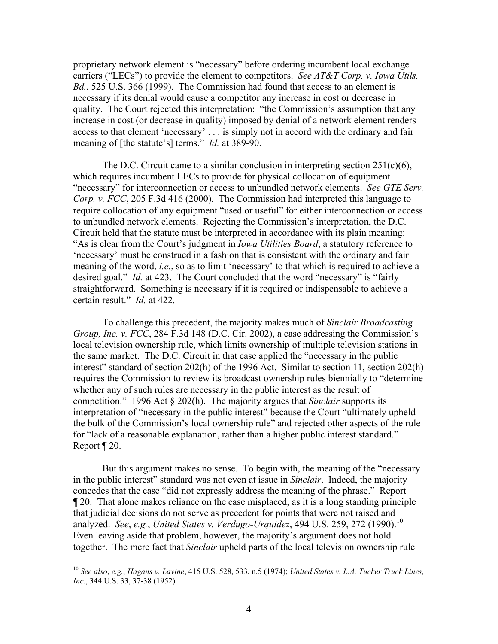proprietary network element is "necessary" before ordering incumbent local exchange carriers ("LECs") to provide the element to competitors. *See AT&T Corp. v. Iowa Utils. Bd.*, 525 U.S. 366 (1999). The Commission had found that access to an element is necessary if its denial would cause a competitor any increase in cost or decrease in quality. The Court rejected this interpretation: "the Commission's assumption that any increase in cost (or decrease in quality) imposed by denial of a network element renders access to that element 'necessary' . . . is simply not in accord with the ordinary and fair meaning of [the statute's] terms." *Id.* at 389-90.

The D.C. Circuit came to a similar conclusion in interpreting section  $251(c)(6)$ , which requires incumbent LECs to provide for physical collocation of equipment "necessary" for interconnection or access to unbundled network elements. *See GTE Serv. Corp. v. FCC*, 205 F.3d 416 (2000). The Commission had interpreted this language to require collocation of any equipment "used or useful" for either interconnection or access to unbundled network elements. Rejecting the Commission's interpretation, the D.C. Circuit held that the statute must be interpreted in accordance with its plain meaning: "As is clear from the Court's judgment in *Iowa Utilities Board*, a statutory reference to 'necessary' must be construed in a fashion that is consistent with the ordinary and fair meaning of the word, *i.e.*, so as to limit 'necessary' to that which is required to achieve a desired goal." *Id.* at 423. The Court concluded that the word "necessary" is "fairly straightforward. Something is necessary if it is required or indispensable to achieve a certain result." *Id.* at 422.

 To challenge this precedent, the majority makes much of *Sinclair Broadcasting Group, Inc. v. FCC*, 284 F.3d 148 (D.C. Cir. 2002), a case addressing the Commission's local television ownership rule, which limits ownership of multiple television stations in the same market. The D.C. Circuit in that case applied the "necessary in the public interest" standard of section 202(h) of the 1996 Act. Similar to section 11, section 202(h) requires the Commission to review its broadcast ownership rules biennially to "determine whether any of such rules are necessary in the public interest as the result of competition." 1996 Act § 202(h). The majority argues that *Sinclair* supports its interpretation of "necessary in the public interest" because the Court "ultimately upheld the bulk of the Commission's local ownership rule" and rejected other aspects of the rule for "lack of a reasonable explanation, rather than a higher public interest standard." Report ¶ 20.

 But this argument makes no sense. To begin with, the meaning of the "necessary in the public interest" standard was not even at issue in *Sinclair*. Indeed, the majority concedes that the case "did not expressly address the meaning of the phrase." Report ¶ 20. That alone makes reliance on the case misplaced, as it is a long standing principle that judicial decisions do not serve as precedent for points that were not raised and analyzed. *See*, *e.g.*, *United States v. Verdugo-Urquidez*, 494 U.S. 259, 272 (1990).<sup>10</sup> Even leaving aside that problem, however, the majority's argument does not hold together. The mere fact that *Sinclair* upheld parts of the local television ownership rule

1

<sup>10</sup> *See also*, *e.g.*, *Hagans v. Lavine*, 415 U.S. 528, 533, n.5 (1974); *United States v. L.A. Tucker Truck Lines, Inc.*, 344 U.S. 33, 37-38 (1952).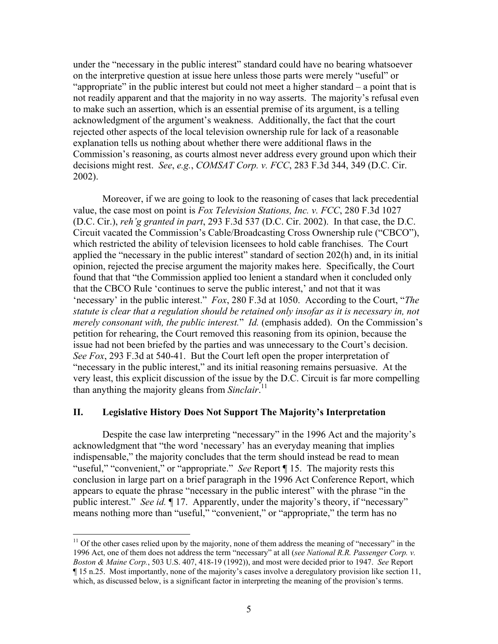under the "necessary in the public interest" standard could have no bearing whatsoever on the interpretive question at issue here unless those parts were merely "useful" or "appropriate" in the public interest but could not meet a higher standard – a point that is not readily apparent and that the majority in no way asserts. The majority's refusal even to make such an assertion, which is an essential premise of its argument, is a telling acknowledgment of the argument's weakness. Additionally, the fact that the court rejected other aspects of the local television ownership rule for lack of a reasonable explanation tells us nothing about whether there were additional flaws in the Commission's reasoning, as courts almost never address every ground upon which their decisions might rest. *See*, *e.g.*, *COMSAT Corp. v. FCC*, 283 F.3d 344, 349 (D.C. Cir. 2002).

 Moreover, if we are going to look to the reasoning of cases that lack precedential value, the case most on point is *Fox Television Stations, Inc. v. FCC*, 280 F.3d 1027 (D.C. Cir.), *reh'g granted in part*, 293 F.3d 537 (D.C. Cir. 2002). In that case, the D.C. Circuit vacated the Commission's Cable/Broadcasting Cross Ownership rule ("CBCO"), which restricted the ability of television licensees to hold cable franchises. The Court applied the "necessary in the public interest" standard of section 202(h) and, in its initial opinion, rejected the precise argument the majority makes here. Specifically, the Court found that that "the Commission applied too lenient a standard when it concluded only that the CBCO Rule 'continues to serve the public interest,' and not that it was 'necessary' in the public interest." *Fox*, 280 F.3d at 1050. According to the Court, "*The statute is clear that a regulation should be retained only insofar as it is necessary in, not merely consonant with, the public interest.*" *Id.* (emphasis added). On the Commission's petition for rehearing, the Court removed this reasoning from its opinion, because the issue had not been briefed by the parties and was unnecessary to the Court's decision. *See Fox*, 293 F.3d at 540-41. But the Court left open the proper interpretation of "necessary in the public interest," and its initial reasoning remains persuasive. At the very least, this explicit discussion of the issue by the D.C. Circuit is far more compelling than anything the majority gleans from *Sinclair*. 11

# **II. Legislative History Does Not Support The Majority's Interpretation**

 Despite the case law interpreting "necessary" in the 1996 Act and the majority's acknowledgment that "the word 'necessary' has an everyday meaning that implies indispensable," the majority concludes that the term should instead be read to mean "useful," "convenient," or "appropriate." *See* Report [15. The majority rests this conclusion in large part on a brief paragraph in the 1996 Act Conference Report, which appears to equate the phrase "necessary in the public interest" with the phrase "in the public interest." *See id.* ¶ 17. Apparently, under the majority's theory, if "necessary" means nothing more than "useful," "convenient," or "appropriate," the term has no

1

 $11$  Of the other cases relied upon by the majority, none of them address the meaning of "necessary" in the 1996 Act, one of them does not address the term "necessary" at all (*see National R.R. Passenger Corp. v. Boston & Maine Corp.*, 503 U.S. 407, 418-19 (1992)), and most were decided prior to 1947. *See* Report ¶ 15 n.25. Most importantly, none of the majority's cases involve a deregulatory provision like section 11, which, as discussed below, is a significant factor in interpreting the meaning of the provision's terms.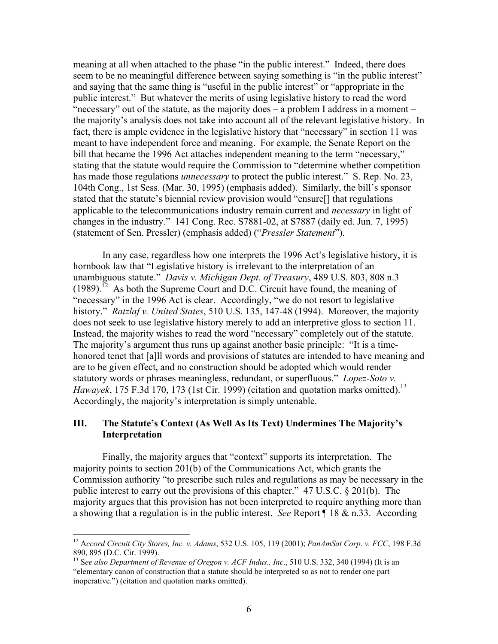meaning at all when attached to the phase "in the public interest." Indeed, there does seem to be no meaningful difference between saying something is "in the public interest" and saying that the same thing is "useful in the public interest" or "appropriate in the public interest." But whatever the merits of using legislative history to read the word "necessary" out of the statute, as the majority does – a problem I address in a moment – the majority's analysis does not take into account all of the relevant legislative history. In fact, there is ample evidence in the legislative history that "necessary" in section 11 was meant to have independent force and meaning. For example, the Senate Report on the bill that became the 1996 Act attaches independent meaning to the term "necessary," stating that the statute would require the Commission to "determine whether competition has made those regulations *unnecessary* to protect the public interest." S. Rep. No. 23, 104th Cong., 1st Sess. (Mar. 30, 1995) (emphasis added). Similarly, the bill's sponsor stated that the statute's biennial review provision would "ensure[] that regulations applicable to the telecommunications industry remain current and *necessary* in light of changes in the industry." 141 Cong. Rec. S7881-02, at S7887 (daily ed. Jun. 7, 1995) (statement of Sen. Pressler) (emphasis added) ("*Pressler Statement*").

 In any case, regardless how one interprets the 1996 Act's legislative history, it is hornbook law that "Legislative history is irrelevant to the interpretation of an unambiguous statute." *Davis v. Michigan Dept. of Treasury*, 489 U.S. 803, 808 n.3  $(1989)$ .<sup>12</sup> As both the Supreme Court and D.C. Circuit have found, the meaning of "necessary" in the 1996 Act is clear. Accordingly, "we do not resort to legislative history." *Ratzlaf v. United States*, 510 U.S. 135, 147-48 (1994). Moreover, the majority does not seek to use legislative history merely to add an interpretive gloss to section 11. Instead, the majority wishes to read the word "necessary" completely out of the statute. The majority's argument thus runs up against another basic principle: "It is a timehonored tenet that [a]ll words and provisions of statutes are intended to have meaning and are to be given effect, and no construction should be adopted which would render statutory words or phrases meaningless, redundant, or superfluous." *Lopez-Soto v. Hawayek*, 175 F.3d 170, 173 (1st Cir. 1999) (citation and quotation marks omitted).<sup>13</sup> Accordingly, the majority's interpretation is simply untenable.

## **III. The Statute's Context (As Well As Its Text) Undermines The Majority's Interpretation**

 Finally, the majority argues that "context" supports its interpretation. The majority points to section 201(b) of the Communications Act, which grants the Commission authority "to prescribe such rules and regulations as may be necessary in the public interest to carry out the provisions of this chapter." 47 U.S.C. § 201(b). The majority argues that this provision has not been interpreted to require anything more than a showing that a regulation is in the public interest. *See* Report ¶ 18 & n.33. According

<sup>12</sup> A*ccord Circuit City Stores, Inc. v. Adams*, 532 U.S. 105, 119 (2001); *PanAmSat Corp. v. FCC*, 198 F.3d 890, 895 (D.C. Cir. 1999).

<sup>13</sup> S*ee also Department of Revenue of Oregon v. ACF Indus., Inc*., 510 U.S. 332, 340 (1994) (It is an "elementary canon of construction that a statute should be interpreted so as not to render one part inoperative.") (citation and quotation marks omitted).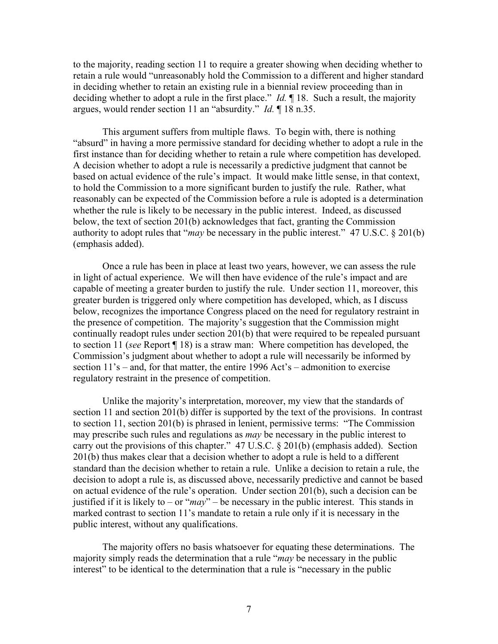to the majority, reading section 11 to require a greater showing when deciding whether to retain a rule would "unreasonably hold the Commission to a different and higher standard in deciding whether to retain an existing rule in a biennial review proceeding than in deciding whether to adopt a rule in the first place." *Id.* ¶ 18. Such a result, the majority argues, would render section 11 an "absurdity." *Id.* ¶ 18 n.35.

 This argument suffers from multiple flaws. To begin with, there is nothing "absurd" in having a more permissive standard for deciding whether to adopt a rule in the first instance than for deciding whether to retain a rule where competition has developed. A decision whether to adopt a rule is necessarily a predictive judgment that cannot be based on actual evidence of the rule's impact. It would make little sense, in that context, to hold the Commission to a more significant burden to justify the rule. Rather, what reasonably can be expected of the Commission before a rule is adopted is a determination whether the rule is likely to be necessary in the public interest. Indeed, as discussed below, the text of section 201(b) acknowledges that fact, granting the Commission authority to adopt rules that "*may* be necessary in the public interest." 47 U.S.C. § 201(b) (emphasis added).

 Once a rule has been in place at least two years, however, we can assess the rule in light of actual experience. We will then have evidence of the rule's impact and are capable of meeting a greater burden to justify the rule. Under section 11, moreover, this greater burden is triggered only where competition has developed, which, as I discuss below, recognizes the importance Congress placed on the need for regulatory restraint in the presence of competition. The majority's suggestion that the Commission might continually readopt rules under section 201(b) that were required to be repealed pursuant to section 11 (*see* Report ¶ 18) is a straw man: Where competition has developed, the Commission's judgment about whether to adopt a rule will necessarily be informed by section 11's – and, for that matter, the entire 1996 Act's – admonition to exercise regulatory restraint in the presence of competition.

 Unlike the majority's interpretation, moreover, my view that the standards of section 11 and section 201(b) differ is supported by the text of the provisions. In contrast to section 11, section 201(b) is phrased in lenient, permissive terms: "The Commission may prescribe such rules and regulations as *may* be necessary in the public interest to carry out the provisions of this chapter." 47 U.S.C. § 201(b) (emphasis added). Section 201(b) thus makes clear that a decision whether to adopt a rule is held to a different standard than the decision whether to retain a rule. Unlike a decision to retain a rule, the decision to adopt a rule is, as discussed above, necessarily predictive and cannot be based on actual evidence of the rule's operation. Under section 201(b), such a decision can be justified if it is likely to – or " $may$ " – be necessary in the public interest. This stands in marked contrast to section 11's mandate to retain a rule only if it is necessary in the public interest, without any qualifications.

 The majority offers no basis whatsoever for equating these determinations. The majority simply reads the determination that a rule "*may* be necessary in the public interest" to be identical to the determination that a rule is "necessary in the public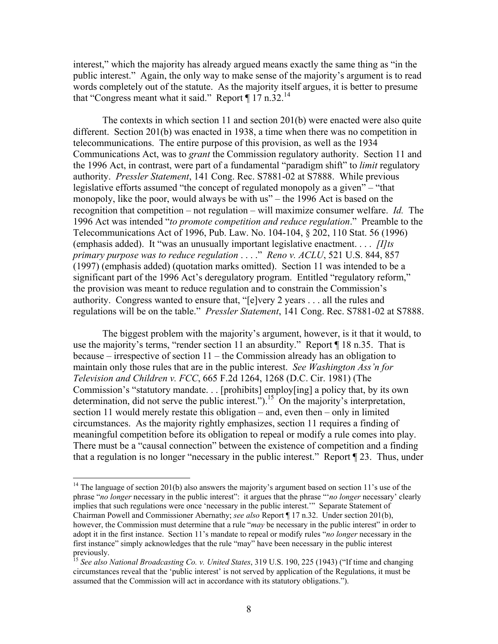interest," which the majority has already argued means exactly the same thing as "in the public interest." Again, the only way to make sense of the majority's argument is to read words completely out of the statute. As the majority itself argues, it is better to presume that "Congress meant what it said." Report  $\P$  17 n.32.<sup>14</sup>

 The contexts in which section 11 and section 201(b) were enacted were also quite different. Section 201(b) was enacted in 1938, a time when there was no competition in telecommunications. The entire purpose of this provision, as well as the 1934 Communications Act, was to *grant* the Commission regulatory authority. Section 11 and the 1996 Act, in contrast, were part of a fundamental "paradigm shift" to *limit* regulatory authority. *Pressler Statement*, 141 Cong. Rec. S7881-02 at S7888. While previous legislative efforts assumed "the concept of regulated monopoly as a given" – "that monopoly, like the poor, would always be with us" – the 1996 Act is based on the recognition that competition – not regulation – will maximize consumer welfare. *Id.* The 1996 Act was intended "*to promote competition and reduce regulation*." Preamble to the Telecommunications Act of 1996, Pub. Law. No. 104-104, § 202, 110 Stat. 56 (1996) (emphasis added). It "was an unusually important legislative enactment. . . . *[I]ts primary purpose was to reduce regulation* . . . ." *Reno v. ACLU*, 521 U.S. 844, 857 (1997) (emphasis added) (quotation marks omitted). Section 11 was intended to be a significant part of the 1996 Act's deregulatory program. Entitled "regulatory reform," the provision was meant to reduce regulation and to constrain the Commission's authority. Congress wanted to ensure that, "[e]very 2 years . . . all the rules and regulations will be on the table." *Pressler Statement*, 141 Cong. Rec. S7881-02 at S7888.

 The biggest problem with the majority's argument, however, is it that it would, to use the majority's terms, "render section 11 an absurdity." Report ¶ 18 n.35. That is because – irrespective of section 11 – the Commission already has an obligation to maintain only those rules that are in the public interest. *See Washington Ass'n for Television and Children v. FCC*, 665 F.2d 1264, 1268 (D.C. Cir. 1981) (The Commission's "statutory mandate. . . [prohibits] employ[ing] a policy that, by its own determination, did not serve the public interest.").<sup>15</sup> On the majority's interpretation, section 11 would merely restate this obligation – and, even then – only in limited circumstances. As the majority rightly emphasizes, section 11 requires a finding of meaningful competition before its obligation to repeal or modify a rule comes into play. There must be a "causal connection" between the existence of competition and a finding that a regulation is no longer "necessary in the public interest." Report ¶ 23. Thus, under

<sup>&</sup>lt;sup>14</sup> The language of section 201(b) also answers the majority's argument based on section 11's use of the phrase "*no longer* necessary in the public interest": it argues that the phrase "'*no longer* necessary' clearly implies that such regulations were once 'necessary in the public interest.'" Separate Statement of Chairman Powell and Commissioner Abernathy; *see also* Report ¶ 17 n.32. Under section 201(b), however, the Commission must determine that a rule "*may* be necessary in the public interest" in order to adopt it in the first instance. Section 11's mandate to repeal or modify rules "*no longer* necessary in the first instance" simply acknowledges that the rule "may" have been necessary in the public interest previously.

<sup>15</sup> *See also National Broadcasting Co. v. United States*, 319 U.S. 190, 225 (1943) ("If time and changing circumstances reveal that the 'public interest' is not served by application of the Regulations, it must be assumed that the Commission will act in accordance with its statutory obligations.").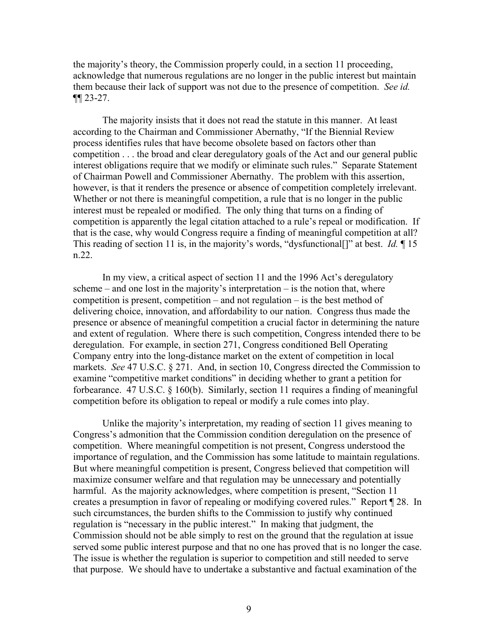the majority's theory, the Commission properly could, in a section 11 proceeding, acknowledge that numerous regulations are no longer in the public interest but maintain them because their lack of support was not due to the presence of competition. *See id.* ¶¶ 23-27.

 The majority insists that it does not read the statute in this manner. At least according to the Chairman and Commissioner Abernathy, "If the Biennial Review process identifies rules that have become obsolete based on factors other than competition . . . the broad and clear deregulatory goals of the Act and our general public interest obligations require that we modify or eliminate such rules." Separate Statement of Chairman Powell and Commissioner Abernathy. The problem with this assertion, however, is that it renders the presence or absence of competition completely irrelevant. Whether or not there is meaningful competition, a rule that is no longer in the public interest must be repealed or modified. The only thing that turns on a finding of competition is apparently the legal citation attached to a rule's repeal or modification. If that is the case, why would Congress require a finding of meaningful competition at all? This reading of section 11 is, in the majority's words, "dysfunctional[]" at best. *Id.* ¶ 15 n.22.

 In my view, a critical aspect of section 11 and the 1996 Act's deregulatory scheme – and one lost in the majority's interpretation – is the notion that, where competition is present, competition – and not regulation – is the best method of delivering choice, innovation, and affordability to our nation. Congress thus made the presence or absence of meaningful competition a crucial factor in determining the nature and extent of regulation. Where there is such competition, Congress intended there to be deregulation. For example, in section 271, Congress conditioned Bell Operating Company entry into the long-distance market on the extent of competition in local markets. *See* 47 U.S.C. § 271. And, in section 10, Congress directed the Commission to examine "competitive market conditions" in deciding whether to grant a petition for forbearance. 47 U.S.C. § 160(b). Similarly, section 11 requires a finding of meaningful competition before its obligation to repeal or modify a rule comes into play.

 Unlike the majority's interpretation, my reading of section 11 gives meaning to Congress's admonition that the Commission condition deregulation on the presence of competition. Where meaningful competition is not present, Congress understood the importance of regulation, and the Commission has some latitude to maintain regulations. But where meaningful competition is present, Congress believed that competition will maximize consumer welfare and that regulation may be unnecessary and potentially harmful. As the majority acknowledges, where competition is present, "Section 11 creates a presumption in favor of repealing or modifying covered rules." Report ¶ 28. In such circumstances, the burden shifts to the Commission to justify why continued regulation is "necessary in the public interest." In making that judgment, the Commission should not be able simply to rest on the ground that the regulation at issue served some public interest purpose and that no one has proved that is no longer the case. The issue is whether the regulation is superior to competition and still needed to serve that purpose. We should have to undertake a substantive and factual examination of the